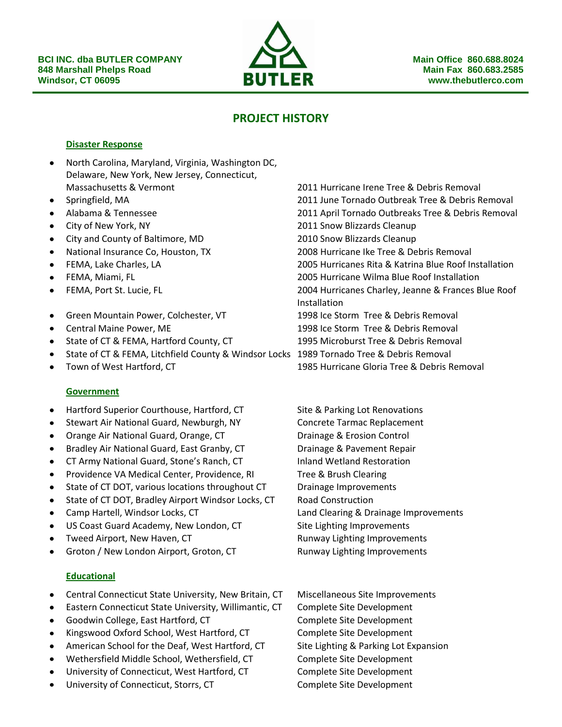

# **PROJECT HISTORY**

#### **Disaster Response**

- North Carolina, Maryland, Virginia, Washington DC,  $\bullet$ Delaware, New York, New Jersey, Connecticut, Massachusetts & Vermont 2011 Hurricane Irene Tree & Debris Removal
- $\bullet$
- 
- 
- $\bullet$ City and County of Baltimore, MD 2010 Snow Blizzards Cleanup
- 
- 
- 
- 
- Green Mountain Power, Colchester, VT 1998 Ice Storm Tree & Debris Removal  $\bullet$
- 
- State of CT & FEMA, Hartford County, CT 1995 Microburst Tree & Debris Removal
- State of CT & FEMA, Litchfield County & Windsor Locks 1989 Tornado Tree & Debris Removal
- $\bullet$

### **Government**

- Hartford Superior Courthouse, Hartford, CT Site & Parking Lot Renovations  $\bullet$
- Stewart Air National Guard, Newburgh, NY Concrete Tarmac Replacement
- Orange Air National Guard, Orange, CT Drainage & Erosion Control
- Bradley Air National Guard, East Granby, CT Drainage & Pavement Repair
- CT Army National Guard, Stone's Ranch, CT Inland Wetland Restoration  $\bullet$
- Providence VA Medical Center, Providence, RI Tree & Brush Clearing
- State of CT DOT, various locations throughout CT Drainage Improvements
- State of CT DOT, Bradley Airport Windsor Locks, CT Road Construction
- 
- US Coast Guard Academy, New London, CT Site Lighting Improvements
- 
- Groton / New London Airport, Groton, CT Runway Lighting Improvements

### **Educational**

- Central Connecticut State University, New Britain, CT Miscellaneous Site Improvements
- Eastern Connecticut State University, Willimantic, CT Complete Site Development
- Goodwin College, East Hartford, CT Complete Site Development
- Kingswood Oxford School, West Hartford, CT Complete Site Development
- American School for the Deaf, West Hartford, CT Site Lighting & Parking Lot Expansion  $\bullet$
- Wethersfield Middle School, Wethersfield, CT Complete Site Development
- University of Connecticut, West Hartford, CT Complete Site Development
- University of Connecticut, Storrs, CT Complete Site Development

Springfield, MA 2011 June Tornado Outbreak Tree & Debris Removal Alabama & Tennessee 2011 April Tornado Outbreaks Tree & Debris Removal City of New York, NY 2011 Snow Blizzards Cleanup National Insurance Co, Houston, TX 2008 Hurricane Ike Tree & Debris Removal FEMA, Lake Charles, LA 2005 Hurricanes Rita & Katrina Blue Roof Installation FEMA, Miami, FL 2005 Hurricane Wilma Blue Roof Installation FEMA, Port St. Lucie, FL 2004 Hurricanes Charley, Jeanne & Frances Blue Roof Installation Central Maine Power, ME 1998 Ice Storm Tree & Debris Removal Town of West Hartford, CT 1985 Hurricane Gloria Tree & Debris Removal

Camp Hartell, Windsor Locks, CT Land Clearing & Drainage Improvements

- Tweed Airport, New Haven, CT and Runway Lighting Improvements
	-

- 
- 
-